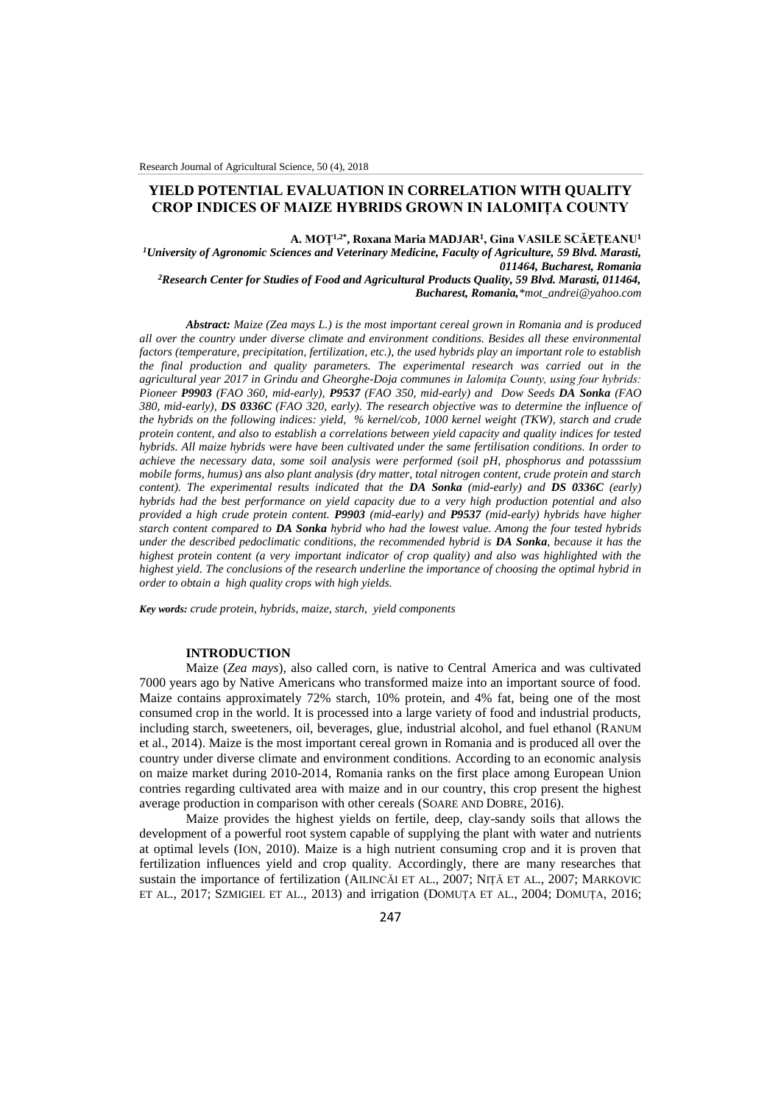# **YIELD POTENTIAL EVALUATION IN CORRELATION WITH QUALITY CROP INDICES OF MAIZE HYBRIDS GROWN IN IALOMIȚA COUNTY**

**A. MOȚ1,2\* , Roxana Maria MADJAR<sup>1</sup> , Gina VASILE SCĂEȚEANU<sup>1</sup>**

*<sup>1</sup>University of Agronomic Sciences and Veterinary Medicine, Faculty of Agriculture, 59 Blvd. Marasti, 011464, Bucharest, Romania <sup>2</sup>Research Center for Studies of Food and Agricultural Products Quality, 59 Blvd. Marasti, 011464,* 

*Bucharest, Romania,\*mot\_andrei@yahoo.com*

*Abstract: Maize (Zea mays L.) is the most important cereal grown in Romania and is produced all over the country under diverse climate and environment conditions. Besides all these environmental factors (temperature, precipitation, fertilization, etc.), the used hybrids play an important role to establish the final production and quality parameters. The experimental research was carried out in the agricultural year 2017 in Grindu and Gheorghe-Doja communes in Ialomița County, using four hybrids: Pioneer P9903 (FAO 360, mid-early), P9537 (FAO 350, mid-early) and Dow Seeds DA Sonka (FAO 380, mid-early), DS 0336C (FAO 320, early). The research objective was to determine the influence of the hybrids on the following indices: yield, % kernel/cob, 1000 kernel weight (TKW), starch and crude protein content, and also to establish a correlations between yield capacity and quality indices for tested hybrids. All maize hybrids were have been cultivated under the same fertilisation conditions. In order to achieve the necessary data, some soil analysis were performed (soil pH, phosphorus and potasssium mobile forms, humus) ans also plant analysis (dry matter, total nitrogen content, crude protein and starch content). The experimental results indicated that the DA Sonka (mid-early) and DS 0336C (early) hybrids had the best performance on yield capacity due to a very high production potential and also provided a high crude protein content. P9903 (mid-early) and P9537 (mid-early) hybrids have higher starch content compared to DA Sonka hybrid who had the lowest value. Among the four tested hybrids under the described pedoclimatic conditions, the recommended hybrid is DA Sonka, because it has the highest protein content (a very important indicator of crop quality) and also was highlighted with the highest yield. The conclusions of the research underline the importance of choosing the optimal hybrid in order to obtain a high quality crops with high yields.*

*Key words: crude protein, hybrids, maize, starch, yield components*

# **INTRODUCTION**

Maize (*Zea mays*), also called corn, is native to Central America and was cultivated 7000 years ago by Native Americans who transformed maize into an important source of food. Maize contains approximately 72% starch, 10% protein, and 4% fat, being one of the most consumed crop in the world. It is processed into a large variety of food and industrial products, including starch, sweeteners, oil, beverages, glue, industrial alcohol, and fuel ethanol (RANUM et al., 2014). Maize is the most important cereal grown in Romania and is produced all over the country under diverse climate and environment conditions. According to an economic analysis on maize market during 2010-2014, Romania ranks on the first place among European Union contries regarding cultivated area with maize and in our country, this crop present the highest average production in comparison with other cereals (SOARE AND DOBRE, 2016).

Maize provides the highest yields on fertile, deep, clay-sandy soils that allows the development of a powerful root system capable of supplying the plant with water and nutrients at optimal levels (ION, 2010). Maize is a high nutrient consuming crop and it is proven that fertilization influences yield and crop quality. Accordingly, there are many researches that sustain the importance of fertilization (AILINCĂI ET AL., 2007; NIȚĂ ET AL., 2007; MARKOVIC ET AL., 2017; SZMIGIEL ET AL., 2013) and irrigation (DOMUȚA ET AL., 2004; DOMUȚA, 2016;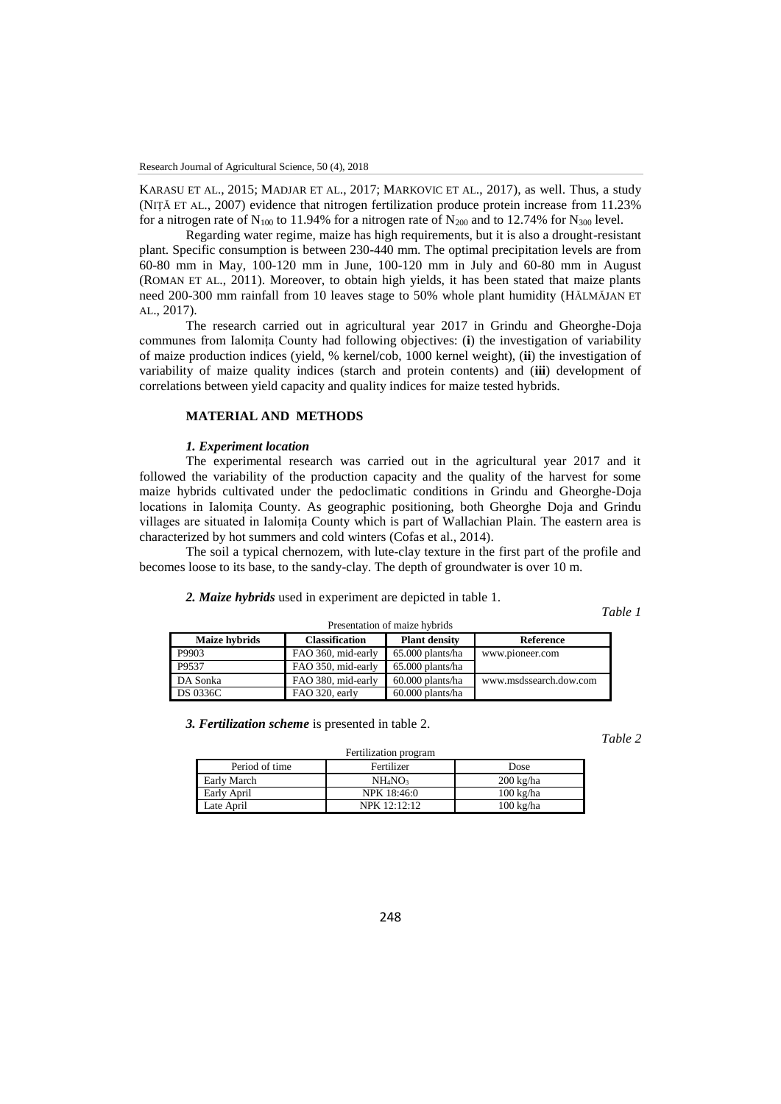KARASU ET AL., 2015; MADJAR ET AL., 2017; MARKOVIC ET AL., 2017), as well. Thus, a study (NIȚĂ ET AL., 2007) evidence that nitrogen fertilization produce protein increase from 11.23% for a nitrogen rate of  $N_{100}$  to 11.94% for a nitrogen rate of  $N_{200}$  and to 12.74% for  $N_{300}$  level.

Regarding water regime, maize has high requirements, but it is also a drought-resistant plant. Specific consumption is between 230-440 mm. The optimal precipitation levels are from 60-80 mm in May, 100-120 mm in June, 100-120 mm in July and 60-80 mm in August (ROMAN ET AL., 2011). Moreover, to obtain high yields, it has been stated that maize plants need 200-300 mm rainfall from 10 leaves stage to 50% whole plant humidity (HĂLMĂJAN ET  $AL. 2017$ ).

The research carried out in agricultural year 2017 in Grindu and Gheorghe-Doja communes from Ialomița County had following objectives: (**i**) the investigation of variability of maize production indices (yield, % kernel/cob, 1000 kernel weight), (**ii**) the investigation of variability of maize quality indices (starch and protein contents) and (**iii**) development of correlations between yield capacity and quality indices for maize tested hybrids.

# **MATERIAL AND METHODS**

#### *1. Experiment location*

The experimental research was carried out in the agricultural year 2017 and it followed the variability of the production capacity and the quality of the harvest for some maize hybrids cultivated under the pedoclimatic conditions in Grindu and Gheorghe-Doja locations in Ialomița County. As geographic positioning, both Gheorghe Doja and Grindu villages are situated in Ialomița County which is part of Wallachian Plain. The eastern area is characterized by hot summers and cold winters (Cofas et al., 2014).

The soil a typical chernozem, with lute-clay texture in the first part of the profile and becomes loose to its base, to the sandy-clay. The depth of groundwater is over 10 m.

#### *2. Maize hybrids* used in experiment are depicted in table 1.

*Table 1*

| Presentation of maize hybrids |                       |                      |                        |  |
|-------------------------------|-----------------------|----------------------|------------------------|--|
| Maize hybrids                 | <b>Classification</b> | <b>Plant density</b> | Reference              |  |
| P9903                         | FAO 360, mid-early    | 65.000 plants/ha     | www.pioneer.com        |  |
| P9537                         | FAO 350, mid-early    | 65.000 plants/ha     |                        |  |
| DA Sonka                      | FAO 380, mid-early    | 60.000 plants/ha     | www.msdssearch.dow.com |  |
| <b>DS 0336C</b>               | FAO 320, early        | 60.000 plants/ha     |                        |  |

*3. Fertilization scheme* is presented in table 2.

*Table 2*

| Period of time | Fertilizer                      | Dose                |  |  |
|----------------|---------------------------------|---------------------|--|--|
| Early March    | NH <sub>4</sub> NO <sub>3</sub> | $200 \text{ kg/ha}$ |  |  |
| Early April    | NPK 18:46:0                     | $100 \text{ kg/ha}$ |  |  |
| Late April     | NPK 12.12.12                    | 100 kg/ha           |  |  |

Fertilization program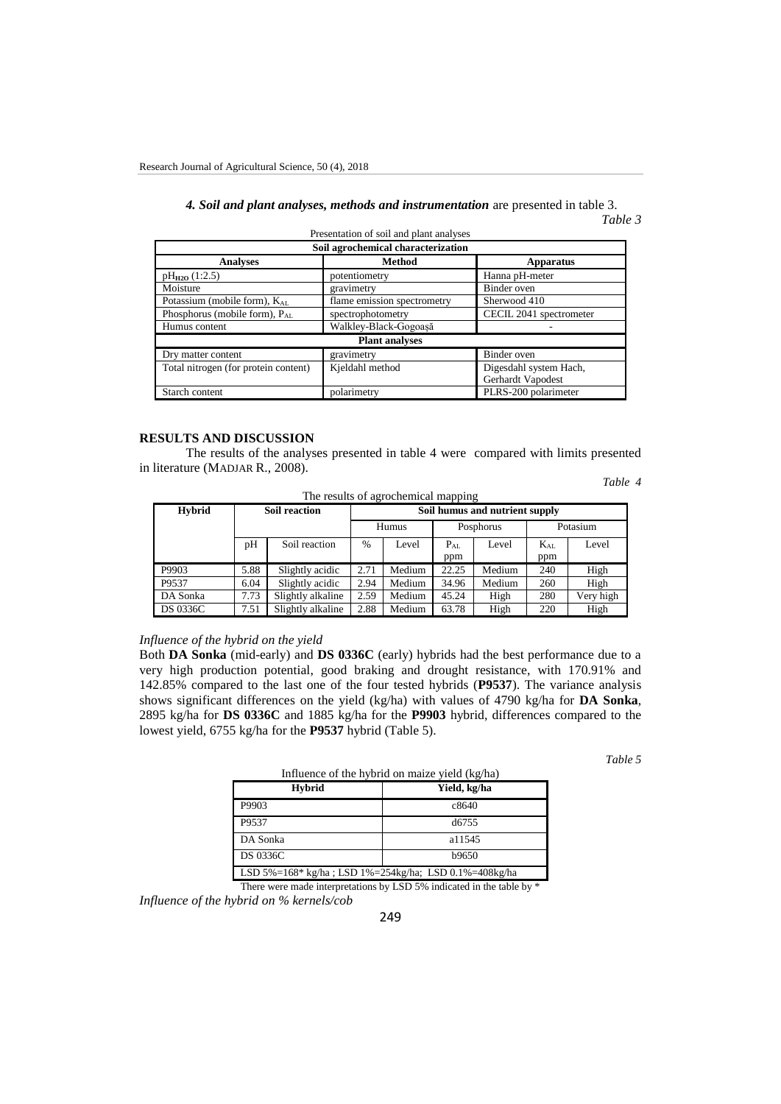## *4. Soil and plant analyses, methods and instrumentation* are presented in table 3. *Table 3*

| Soil agrochemical characterization        |                             |                         |  |  |  |
|-------------------------------------------|-----------------------------|-------------------------|--|--|--|
| <b>Analyses</b>                           | <b>Apparatus</b>            |                         |  |  |  |
| $pH_{H2O}(1:2.5)$                         | potentiometry               | Hanna pH-meter          |  |  |  |
| Moisture                                  | gravimetry                  | Binder oven             |  |  |  |
| Potassium (mobile form), K <sub>AL</sub>  | flame emission spectrometry | Sherwood 410            |  |  |  |
| Phosphorus (mobile form), P <sub>AL</sub> | spectrophotometry           | CECIL 2041 spectrometer |  |  |  |
| Humus content                             | Walkley-Black-Gogoasă       |                         |  |  |  |
| <b>Plant analyses</b>                     |                             |                         |  |  |  |
| Dry matter content                        | gravimetry                  | Binder oven             |  |  |  |
| Total nitrogen (for protein content)      | Kjeldahl method             | Digesdahl system Hach,  |  |  |  |
|                                           |                             | Gerhardt Vapodest       |  |  |  |
| Starch content                            | polarimetry                 | PLRS-200 polarimeter    |  |  |  |

Presentation of soil and plant analyses

#### **RESULTS AND DISCUSSION**

The results of the analyses presented in table 4 were compared with limits presented in literature (MADJAR R., 2008).

*Table 4*

| The results of agrochemical mapping |                      |                   |                                |        |           |        |          |           |
|-------------------------------------|----------------------|-------------------|--------------------------------|--------|-----------|--------|----------|-----------|
| <b>Hybrid</b>                       | <b>Soil reaction</b> |                   | Soil humus and nutrient supply |        |           |        |          |           |
|                                     |                      |                   |                                | Humus  | Posphorus |        | Potasium |           |
|                                     | pH                   | Soil reaction     | $\%$                           | Level  | $P_{AI.}$ | Level  | $K_{AL}$ | Level     |
|                                     |                      |                   |                                |        | ppm       |        | ppm      |           |
| P9903                               | 5.88                 | Slightly acidic   | 2.71                           | Medium | 22.25     | Medium | 240      | High      |
| P9537                               | 6.04                 | Slightly acidic   | 2.94                           | Medium | 34.96     | Medium | 260      | High      |
| DA Sonka                            | 7.73                 | Slightly alkaline | 2.59                           | Medium | 45.24     | High   | 280      | Very high |
| <b>DS 0336C</b>                     | 7.51                 | Slightly alkaline | 2.88                           | Medium | 63.78     | High   | 220      | High      |

## *Influence of the hybrid on the yield*

Both **DA Sonka** (mid-early) and **DS 0336C** (early) hybrids had the best performance due to a very high production potential, good braking and drought resistance, with 170.91% and 142.85% compared to the last one of the four tested hybrids (**P9537**). The variance analysis shows significant differences on the yield (kg/ha) with values of 4790 kg/ha for **DA Sonka**, 2895 kg/ha for **DS 0336C** and 1885 kg/ha for the **P9903** hybrid, differences compared to the lowest yield, 6755 kg/ha for the **P9537** hybrid (Table 5).

*Table 5*

| Influence of the hybrid on maize yield (kg/ha)        |              |  |
|-------------------------------------------------------|--------------|--|
| <b>Hybrid</b>                                         | Yield, kg/ha |  |
| P9903                                                 | c8640        |  |
| P9537                                                 | d6755        |  |
| DA Sonka                                              | a11545       |  |
| <b>DS 0336C</b>                                       | b9650        |  |
| LSD 5%=168* kg/ha; LSD 1%=254kg/ha; LSD 0.1%=408kg/ha |              |  |

There were made interpretations by LSD 5% indicated in the table by \*

*Influence of the hybrid on % kernels/cob*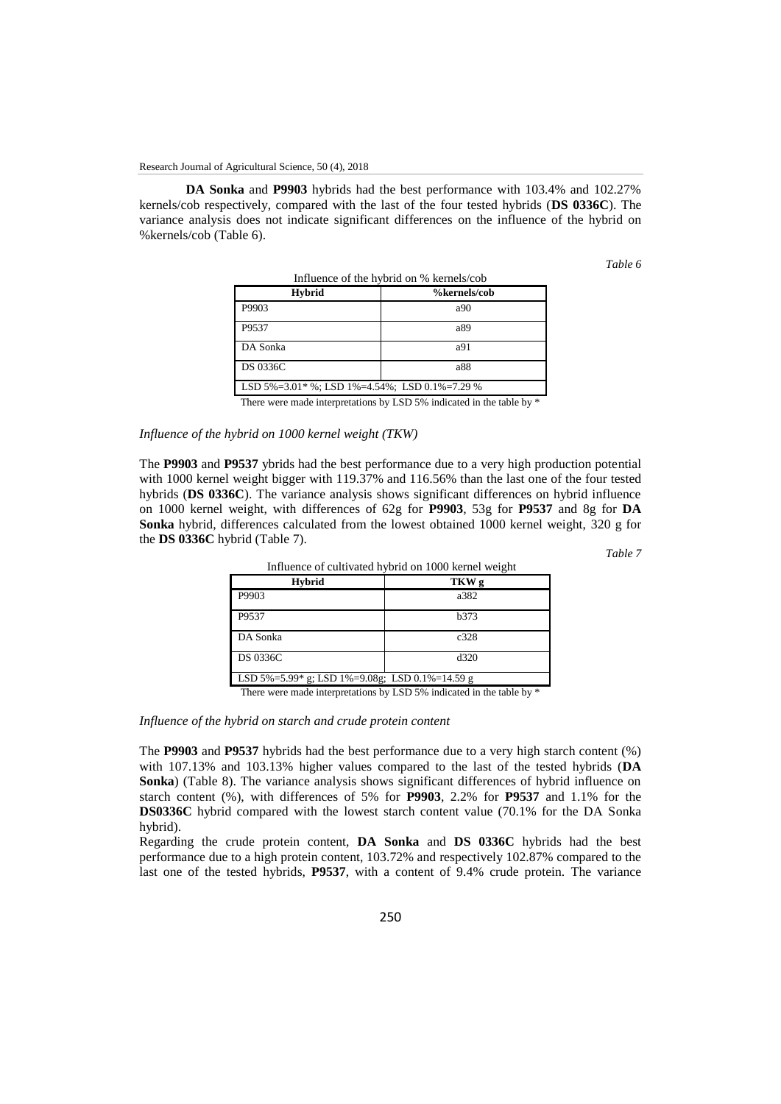**DA Sonka** and **P9903** hybrids had the best performance with 103.4% and 102.27% kernels/cob respectively, compared with the last of the four tested hybrids (**DS 0336C**). The variance analysis does not indicate significant differences on the influence of the hybrid on %kernels/cob (Table 6).

*Table 6*

| Influence of the hybrid on % kernels/cob                       |              |  |
|----------------------------------------------------------------|--------------|--|
| Hybrid                                                         | %kernels/cob |  |
| P9903                                                          | a90          |  |
| P9537                                                          | a89          |  |
| DA Sonka                                                       | a91          |  |
| <b>DS 0336C</b>                                                | a88          |  |
| LSD $5\% = 3.01$ * %; LSD $1\% = 4.54$ %; LSD $0.1\% = 7.29$ % |              |  |

There were made interpretations by LSD 5% indicated in the table by \*

## *Influence of the hybrid on 1000 kernel weight (TKW)*

The **P9903** and **P9537** ybrids had the best performance due to a very high production potential with 1000 kernel weight bigger with 119.37% and 116.56% than the last one of the four tested hybrids (**DS 0336C**). The variance analysis shows significant differences on hybrid influence on 1000 kernel weight, with differences of 62g for **P9903**, 53g for **P9537** and 8g for **DA Sonka** hybrid, differences calculated from the lowest obtained 1000 kernel weight, 320 g for the **DS 0336C** hybrid (Table 7).

*Table 7*

| Influence of cultivated hybrid on 1000 kernel weight |  |  |
|------------------------------------------------------|--|--|
| TKW g                                                |  |  |
| a382                                                 |  |  |
| <b>b</b> 373                                         |  |  |
| c <sub>328</sub>                                     |  |  |
| d320                                                 |  |  |
| LSD 5%=5.99* g; LSD 1%=9.08g; LSD 0.1%=14.59 g       |  |  |
|                                                      |  |  |

There were made interpretations by LSD 5% indicated in the table by \*

*Influence of the hybrid on starch and crude protein content*

The **P9903** and **P9537** hybrids had the best performance due to a very high starch content (%) with 107.13% and 103.13% higher values compared to the last of the tested hybrids (**DA Sonka**) (Table 8). The variance analysis shows significant differences of hybrid influence on starch content (%), with differences of 5% for **P9903**, 2.2% for **P9537** and 1.1% for the **DS0336C** hybrid compared with the lowest starch content value (70.1% for the DA Sonka hybrid).

Regarding the crude protein content, **DA Sonka** and **DS 0336C** hybrids had the best performance due to a high protein content, 103.72% and respectively 102.87% compared to the last one of the tested hybrids, **P9537**, with a content of 9.4% crude protein. The variance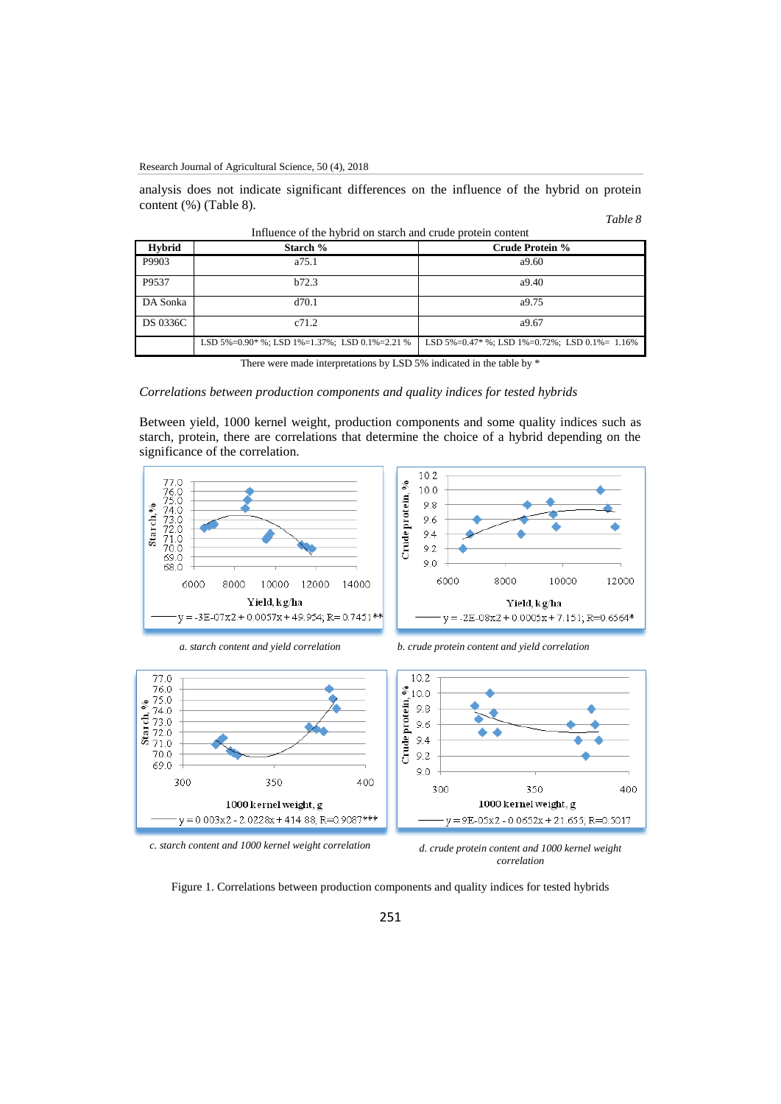analysis does not indicate significant differences on the influence of the hybrid on protein content (%) (Table 8).

#### *Table 8*

| <b>Hybrid</b>   | Starch %                                                      | Crude Protein %                                                |
|-----------------|---------------------------------------------------------------|----------------------------------------------------------------|
| P9903           | a75.1                                                         | a9.60                                                          |
| P9537           | b72.3                                                         | a9.40                                                          |
| DA Sonka        | d70.1                                                         | a9.75                                                          |
| <b>DS 0336C</b> | c71.2                                                         | a9.67                                                          |
|                 | LSD $5\% = 0.90*$ %; LSD $1\% = 1.37%$ ; LSD $0.1\% = 2.21$ % | LSD $5\% = 0.47$ * %; LSD $1\% = 0.72$ %; LSD $0.1\% = 1.16\%$ |

Influence of the hybrid on starch and crude protein content

There were made interpretations by LSD 5% indicated in the table by \*

#### *Correlations between production components and quality indices for tested hybrids*

Between yield, 1000 kernel weight, production components and some quality indices such as starch, protein, there are correlations that determine the choice of a hybrid depending on the significance of the correlation.





70.0





350

 $-y = 9E - 05x2 - 0.0652x + 21.655$ ; R=0.5017

1000 kernel weight, g

400

Figure 1. Correlations between production components and quality indices for tested hybrids

 $9.0$ 

300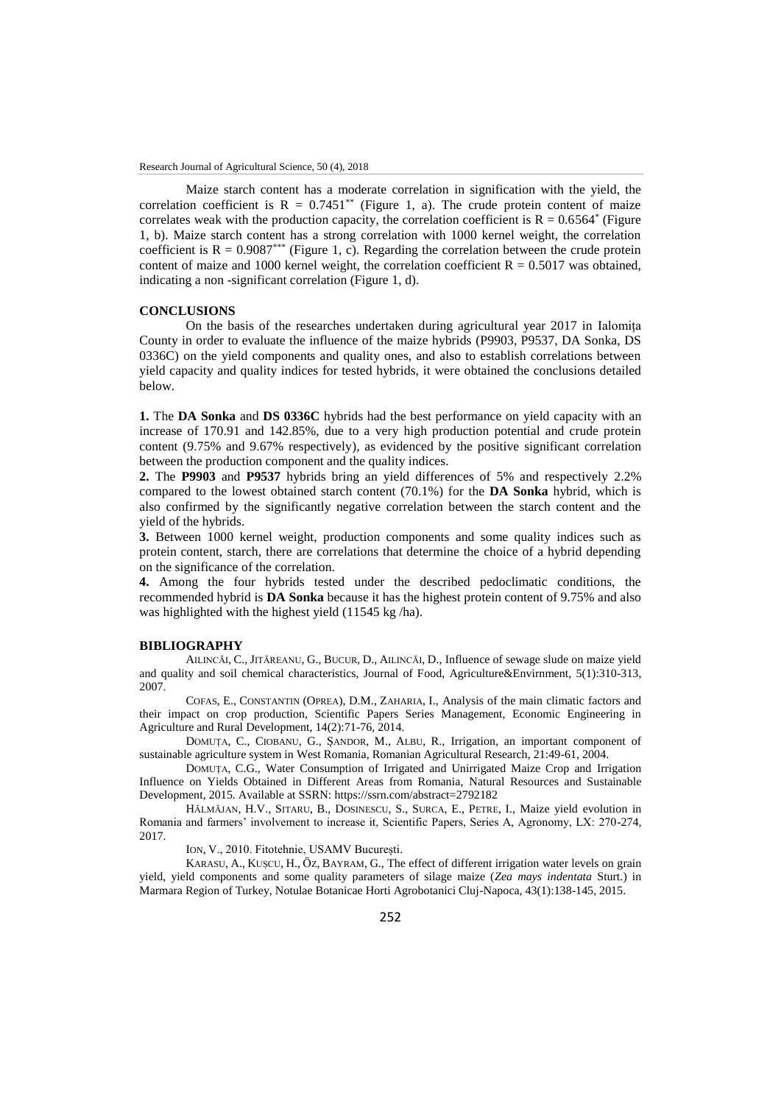Maize starch content has a moderate correlation in signification with the yield, the correlation coefficient is  $R = 0.7451**$  (Figure 1, a). The crude protein content of maize correlates weak with the production capacity, the correlation coefficient is  $R = 0.6564^*$  (Figure 1, b). Maize starch content has a strong correlation with 1000 kernel weight, the correlation coefficient is  $R = 0.9087^{***}$  (Figure 1, c). Regarding the correlation between the crude protein content of maize and 1000 kernel weight, the correlation coefficient  $R = 0.5017$  was obtained, indicating a non -significant correlation (Figure 1, d).

## **CONCLUSIONS**

On the basis of the researches undertaken during agricultural year 2017 in Ialomița County in order to evaluate the influence of the maize hybrids (P9903, P9537, DA Sonka, DS 0336C) on the yield components and quality ones, and also to establish correlations between yield capacity and quality indices for tested hybrids, it were obtained the conclusions detailed below.

**1.** The **DA Sonka** and **DS 0336C** hybrids had the best performance on yield capacity with an increase of 170.91 and 142.85%, due to a very high production potential and crude protein content (9.75% and 9.67% respectively), as evidenced by the positive significant correlation between the production component and the quality indices.

**2.** The **P9903** and **P9537** hybrids bring an yield differences of 5% and respectively 2.2% compared to the lowest obtained starch content (70.1%) for the **DA Sonka** hybrid, which is also confirmed by the significantly negative correlation between the starch content and the yield of the hybrids.

**3.** Between 1000 kernel weight, production components and some quality indices such as protein content, starch, there are correlations that determine the choice of a hybrid depending on the significance of the correlation.

**4.** Among the four hybrids tested under the described pedoclimatic conditions, the recommended hybrid is **DA Sonka** because it has the highest protein content of 9.75% and also was highlighted with the highest yield (11545 kg /ha).

#### **BIBLIOGRAPHY**

AILINCĂI, C., JITĂREANU, G., BUCUR, D., AILINCĂI, D., Influence of sewage slude on maize yield and quality and soil chemical characteristics, Journal of Food, Agriculture&Envirnment, 5(1):310-313, 2007.

COFAS, E., CONSTANTIN (OPREA), D.M., ZAHARIA, I., Analysis of the main climatic factors and their impact on crop production, Scientific Papers Series Management, Economic Engineering in Agriculture and Rural Development, 14(2):71-76, 2014.

DOMUȚA, C., CIOBANU, G., ȘANDOR, M., ALBU, R., Irrigation, an important component of sustainable agriculture system in West Romania, Romanian Agricultural Research, 21:49-61, 2004.

DOMUȚA, C.G., Water Consumption of Irrigated and Unirrigated Maize Crop and Irrigation Influence on Yields Obtained in Different Areas from Romania, Natural Resources and Sustainable Development, 2015. Available at SSRN: https://ssrn.com/abstract=2792182

HĂLMĂJAN, H.V., SITARU, B., DOSINESCU, S., SURCA, E., PETRE, I., Maize yield evolution in Romania and farmers' involvement to increase it, Scientific Papers, Series A, Agronomy, LX: 270-274, 2017.

ION, V., 2010. Fitotehnie, USAMV București.

KARASU, A., KUȘCU, H., ӦZ, BAYRAM, G., The effect of different irrigation water levels on grain yield, yield components and some quality parameters of silage maize (*Zea mays indentata* Sturt.) in Marmara Region of Turkey, Notulae Botanicae Horti Agrobotanici Cluj-Napoca, 43(1):138-145, 2015.